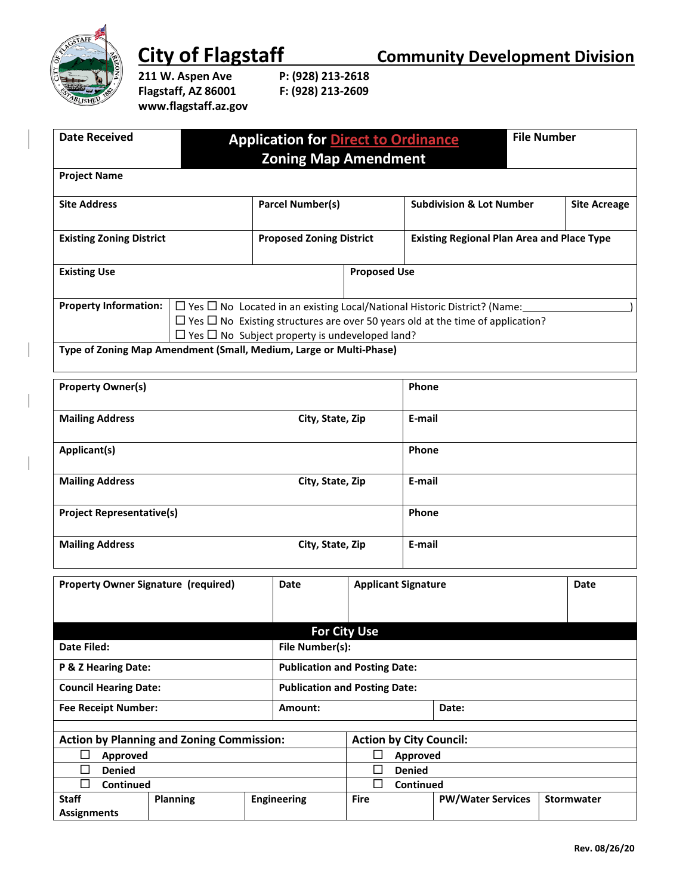

**211 W. Aspen Ave Flagstaff, AZ 86001 F: (928) 213-2609 www.flagstaff.az.gov**

| <b>Date Received</b>                                                                                                 |       |                                 | <b>Application for Direct to Ordinance</b>                                                 |                                                   | <b>File Number</b> |                     |  |
|----------------------------------------------------------------------------------------------------------------------|-------|---------------------------------|--------------------------------------------------------------------------------------------|---------------------------------------------------|--------------------|---------------------|--|
| <b>Zoning Map Amendment</b>                                                                                          |       |                                 |                                                                                            |                                                   |                    |                     |  |
| <b>Project Name</b>                                                                                                  |       |                                 |                                                                                            |                                                   |                    |                     |  |
| <b>Site Address</b>                                                                                                  |       | <b>Parcel Number(s)</b>         |                                                                                            | <b>Subdivision &amp; Lot Number</b>               |                    | <b>Site Acreage</b> |  |
| <b>Existing Zoning District</b>                                                                                      |       | <b>Proposed Zoning District</b> |                                                                                            | <b>Existing Regional Plan Area and Place Type</b> |                    |                     |  |
| <b>Existing Use</b>                                                                                                  |       |                                 |                                                                                            | <b>Proposed Use</b>                               |                    |                     |  |
| <b>Property Information:</b><br>$\Box$ Yes $\Box$ No Located in an existing Local/National Historic District? (Name: |       |                                 |                                                                                            |                                                   |                    |                     |  |
|                                                                                                                      |       |                                 | $\Box$ Yes $\Box$ No Existing structures are over 50 years old at the time of application? |                                                   |                    |                     |  |
| $\Box$ Yes $\Box$ No Subject property is undeveloped land?                                                           |       |                                 |                                                                                            |                                                   |                    |                     |  |
| Type of Zoning Map Amendment (Small, Medium, Large or Multi-Phase)                                                   |       |                                 |                                                                                            |                                                   |                    |                     |  |
|                                                                                                                      |       |                                 |                                                                                            |                                                   |                    |                     |  |
| <b>Property Owner(s)</b>                                                                                             | Phone |                                 |                                                                                            |                                                   |                    |                     |  |

| <b>FIVERY</b> OWNER              |                  | <b>FILUITE</b> |  |
|----------------------------------|------------------|----------------|--|
| <b>Mailing Address</b>           | City, State, Zip | E-mail         |  |
| Applicant(s)                     |                  | Phone          |  |
| <b>Mailing Address</b>           | City, State, Zip | E-mail         |  |
| <b>Project Representative(s)</b> |                  | Phone          |  |
| <b>Mailing Address</b>           | City, State, Zip | E-mail         |  |

|                                                  | <b>Property Owner Signature (required)</b> | Date               | <b>Applicant Signature</b>           |                          | Date              |  |
|--------------------------------------------------|--------------------------------------------|--------------------|--------------------------------------|--------------------------|-------------------|--|
|                                                  |                                            |                    | <b>For City Use</b>                  |                          |                   |  |
| Date Filed:                                      |                                            |                    | File Number(s):                      |                          |                   |  |
| <b>P &amp; Z Hearing Date:</b>                   |                                            |                    | <b>Publication and Posting Date:</b> |                          |                   |  |
| <b>Council Hearing Date:</b>                     |                                            |                    | <b>Publication and Posting Date:</b> |                          |                   |  |
| <b>Fee Receipt Number:</b>                       |                                            | Amount:            | Date:                                |                          |                   |  |
|                                                  |                                            |                    |                                      |                          |                   |  |
| <b>Action by Planning and Zoning Commission:</b> |                                            |                    | <b>Action by City Council:</b>       |                          |                   |  |
| $\Box$<br>Approved                               |                                            | Approved           |                                      |                          |                   |  |
| <b>Denied</b><br>$\Box$                          |                                            |                    | <b>Denied</b>                        |                          |                   |  |
| Continued<br>$\Box$                              |                                            |                    | Continued                            |                          |                   |  |
| <b>Staff</b>                                     | <b>Planning</b>                            | <b>Engineering</b> | <b>Fire</b>                          | <b>PW/Water Services</b> | <b>Stormwater</b> |  |
| <b>Assignments</b>                               |                                            |                    |                                      |                          |                   |  |

**City of Flagstaff Community Development Division**<br>211 W. Aspen Ave P: (928) 213-2618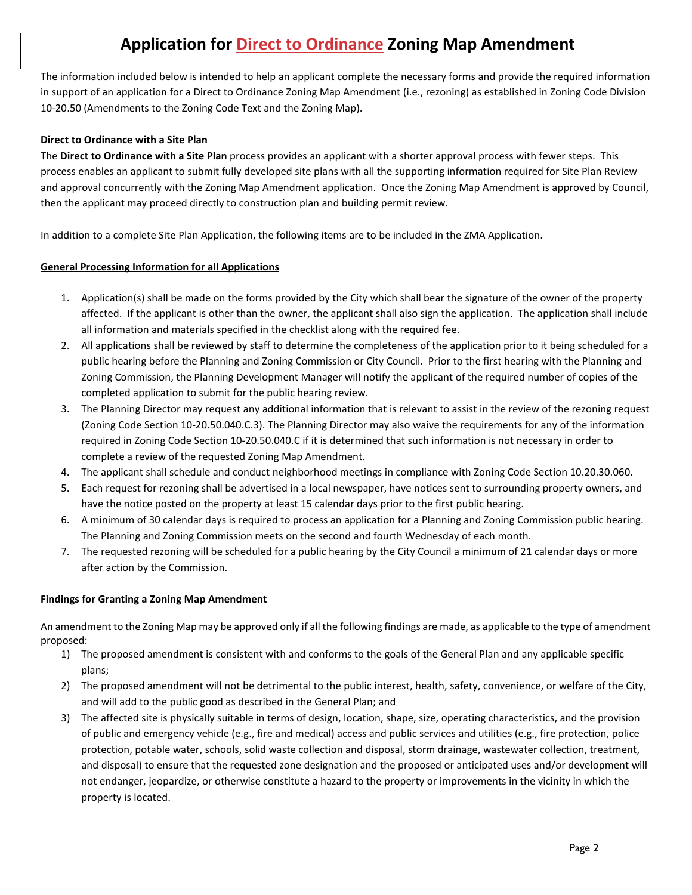# **Application for Direct to Ordinance Zoning Map Amendment**

The information included below is intended to help an applicant complete the necessary forms and provide the required information in support of an application for a Direct to Ordinance Zoning Map Amendment (i.e., rezoning) as established in Zoning Code Division 10-20.50 (Amendments to the Zoning Code Text and the Zoning Map).

#### **Direct to Ordinance with a Site Plan**

The **Direct to Ordinance with a Site Plan** process provides an applicant with a shorter approval process with fewer steps. This process enables an applicant to submit fully developed site plans with all the supporting information required for Site Plan Review and approval concurrently with the Zoning Map Amendment application. Once the Zoning Map Amendment is approved by Council, then the applicant may proceed directly to construction plan and building permit review.

In addition to a complete Site Plan Application, the following items are to be included in the ZMA Application.

#### **General Processing Information for all Applications**

- 1. Application(s) shall be made on the forms provided by the City which shall bear the signature of the owner of the property affected. If the applicant is other than the owner, the applicant shall also sign the application. The application shall include all information and materials specified in the checklist along with the required fee.
- 2. All applications shall be reviewed by staff to determine the completeness of the application prior to it being scheduled for a public hearing before the Planning and Zoning Commission or City Council. Prior to the first hearing with the Planning and Zoning Commission, the Planning Development Manager will notify the applicant of the required number of copies of the completed application to submit for the public hearing review.
- 3. The Planning Director may request any additional information that is relevant to assist in the review of the rezoning request (Zoning Code Section 10-20.50.040.C.3). The Planning Director may also waive the requirements for any of the information required in Zoning Code Section 10-20.50.040.C if it is determined that such information is not necessary in order to complete a review of the requested Zoning Map Amendment.
- 4. The applicant shall schedule and conduct neighborhood meetings in compliance with Zoning Code Section 10.20.30.060.
- 5. Each request for rezoning shall be advertised in a local newspaper, have notices sent to surrounding property owners, and have the notice posted on the property at least 15 calendar days prior to the first public hearing.
- 6. A minimum of 30 calendar days is required to process an application for a Planning and Zoning Commission public hearing. The Planning and Zoning Commission meets on the second and fourth Wednesday of each month.
- 7. The requested rezoning will be scheduled for a public hearing by the City Council a minimum of 21 calendar days or more after action by the Commission.

#### **Findings for Granting a Zoning Map Amendment**

An amendment to the Zoning Map may be approved only if all the following findings are made, as applicable to the type of amendment proposed:

- 1) The proposed amendment is consistent with and conforms to the goals of the General Plan and any applicable specific plans;
- 2) The proposed amendment will not be detrimental to the public interest, health, safety, convenience, or welfare of the City, and will add to the public good as described in the General Plan; and
- 3) The affected site is physically suitable in terms of design, location, shape, size, operating characteristics, and the provision of public and emergency vehicle (e.g., fire and medical) access and public services and utilities (e.g., fire protection, police protection, potable water, schools, solid waste collection and disposal, storm drainage, wastewater collection, treatment, and disposal) to ensure that the requested zone designation and the proposed or anticipated uses and/or development will not endanger, jeopardize, or otherwise constitute a hazard to the property or improvements in the vicinity in which the property is located.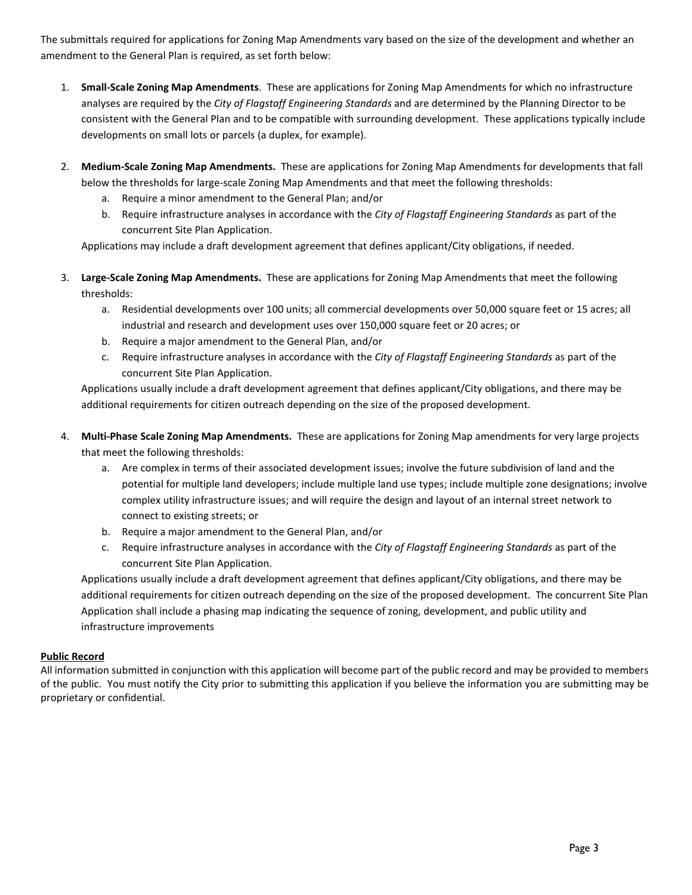The submittals required for applications for Zoning Map Amendments vary based on the size of the development and whether an amendment to the General Plan is required, as set forth below:

- 1. **Small-Scale Zoning Map Amendments**. These are applications for Zoning Map Amendments for which no infrastructure analyses are required by the *City of Flagstaff Engineering Standards* and are determined by the Planning Director to be consistent with the General Plan and to be compatible with surrounding development. These applications typically include developments on small lots or parcels (a duplex, for example).
- 2. **Medium-Scale Zoning Map Amendments.** These are applications for Zoning Map Amendments for developments that fall below the thresholds for large-scale Zoning Map Amendments and that meet the following thresholds:
	- a. Require a minor amendment to the General Plan; and/or
	- b. Require infrastructure analyses in accordance with the *City of Flagstaff Engineering Standards* as part of the concurrent Site Plan Application.

Applications may include a draft development agreement that defines applicant/City obligations, if needed.

- 3. **Large-Scale Zoning Map Amendments.** These are applications for Zoning Map Amendments that meet the following thresholds:
	- a. Residential developments over 100 units; all commercial developments over 50,000 square feet or 15 acres; all industrial and research and development uses over 150,000 square feet or 20 acres; or
	- b. Require a major amendment to the General Plan, and/or
	- c. Require infrastructure analyses in accordance with the *City of Flagstaff Engineering Standards* as part of the concurrent Site Plan Application.

Applications usually include a draft development agreement that defines applicant/City obligations, and there may be additional requirements for citizen outreach depending on the size of the proposed development.

- 4. **Multi-Phase Scale Zoning Map Amendments.** These are applications for Zoning Map amendments for very large projects that meet the following thresholds:
	- a. Are complex in terms of their associated development issues; involve the future subdivision of land and the potential for multiple land developers; include multiple land use types; include multiple zone designations; involve complex utility infrastructure issues; and will require the design and layout of an internal street network to connect to existing streets; or
	- b. Require a major amendment to the General Plan, and/or
	- c. Require infrastructure analyses in accordance with the *City of Flagstaff Engineering Standards* as part of the concurrent Site Plan Application.

Applications usually include a draft development agreement that defines applicant/City obligations, and there may be additional requirements for citizen outreach depending on the size of the proposed development. The concurrent Site Plan Application shall include a phasing map indicating the sequence of zoning, development, and public utility and infrastructure improvements

#### **Public Record**

All information submitted in conjunction with this application will become part of the public record and may be provided to members of the public. You must notify the City prior to submitting this application if you believe the information you are submitting may be proprietary or confidential.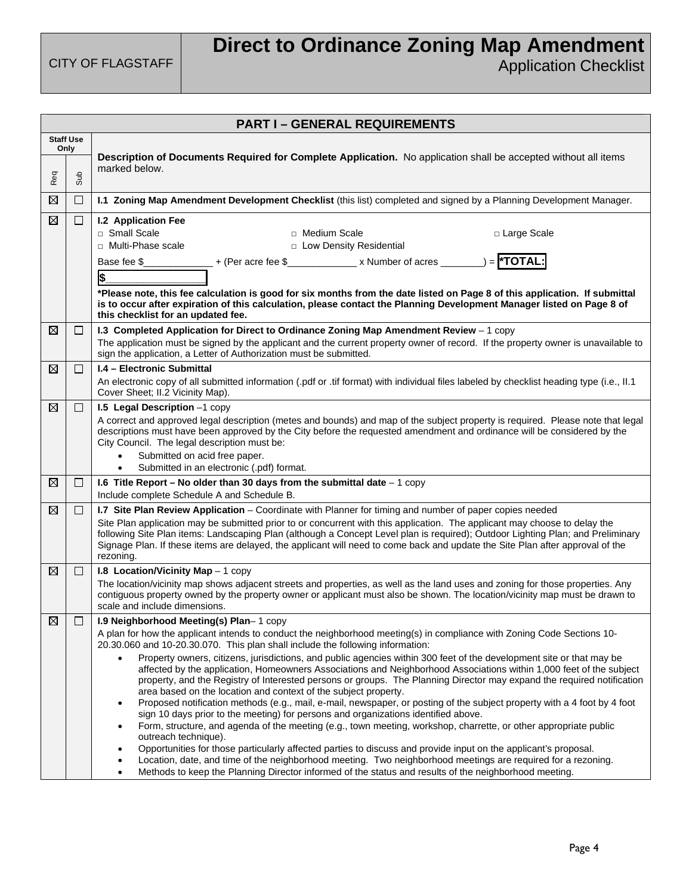# **Direct to Ordinance Zoning Map Amendment**

|             | <b>PART I-GENERAL REQUIREMENTS</b> |                                                                                                                                                                                                                                                                                                                                                                                                                                                                                                                                                                                                                                                                                                                                                                                                                                                                                                                                                                                                                                                                                                                                                                                                                                                                                                                                                                                                                 |  |  |  |
|-------------|------------------------------------|-----------------------------------------------------------------------------------------------------------------------------------------------------------------------------------------------------------------------------------------------------------------------------------------------------------------------------------------------------------------------------------------------------------------------------------------------------------------------------------------------------------------------------------------------------------------------------------------------------------------------------------------------------------------------------------------------------------------------------------------------------------------------------------------------------------------------------------------------------------------------------------------------------------------------------------------------------------------------------------------------------------------------------------------------------------------------------------------------------------------------------------------------------------------------------------------------------------------------------------------------------------------------------------------------------------------------------------------------------------------------------------------------------------------|--|--|--|
|             | <b>Staff Use</b><br>Only           |                                                                                                                                                                                                                                                                                                                                                                                                                                                                                                                                                                                                                                                                                                                                                                                                                                                                                                                                                                                                                                                                                                                                                                                                                                                                                                                                                                                                                 |  |  |  |
| Req         | Sub                                | Description of Documents Required for Complete Application. No application shall be accepted without all items<br>marked below.                                                                                                                                                                                                                                                                                                                                                                                                                                                                                                                                                                                                                                                                                                                                                                                                                                                                                                                                                                                                                                                                                                                                                                                                                                                                                 |  |  |  |
| ⊠           | $\Box$                             | I.1 Zoning Map Amendment Development Checklist (this list) completed and signed by a Planning Development Manager.                                                                                                                                                                                                                                                                                                                                                                                                                                                                                                                                                                                                                                                                                                                                                                                                                                                                                                                                                                                                                                                                                                                                                                                                                                                                                              |  |  |  |
| ⊠           | $\Box$                             | <b>I.2 Application Fee</b><br>□ Small Scale<br>□ Medium Scale<br>□ Large Scale<br>□ Multi-Phase scale<br>□ Low Density Residential<br>Base fee \$_______________+ (Per acre fee \$_____________ x Number of acres _______) = <b> *TOTAL:</b>                                                                                                                                                                                                                                                                                                                                                                                                                                                                                                                                                                                                                                                                                                                                                                                                                                                                                                                                                                                                                                                                                                                                                                    |  |  |  |
|             |                                    | \$<br>*Please note, this fee calculation is good for six months from the date listed on Page 8 of this application. If submittal<br>is to occur after expiration of this calculation, please contact the Planning Development Manager listed on Page 8 of<br>this checklist for an updated fee.                                                                                                                                                                                                                                                                                                                                                                                                                                                                                                                                                                                                                                                                                                                                                                                                                                                                                                                                                                                                                                                                                                                 |  |  |  |
| ⊠           | ப                                  | I.3 Completed Application for Direct to Ordinance Zoning Map Amendment Review - 1 copy<br>The application must be signed by the applicant and the current property owner of record. If the property owner is unavailable to<br>sign the application, a Letter of Authorization must be submitted.                                                                                                                                                                                                                                                                                                                                                                                                                                                                                                                                                                                                                                                                                                                                                                                                                                                                                                                                                                                                                                                                                                               |  |  |  |
| ⊠           | $\Box$                             | <b>I.4 - Electronic Submittal</b><br>An electronic copy of all submitted information (.pdf or .tif format) with individual files labeled by checklist heading type (i.e., II.1<br>Cover Sheet; II.2 Vicinity Map).                                                                                                                                                                                                                                                                                                                                                                                                                                                                                                                                                                                                                                                                                                                                                                                                                                                                                                                                                                                                                                                                                                                                                                                              |  |  |  |
| ⊠           | $\Box$                             | I.5 Legal Description -1 copy<br>A correct and approved legal description (metes and bounds) and map of the subject property is required. Please note that legal<br>descriptions must have been approved by the City before the requested amendment and ordinance will be considered by the<br>City Council. The legal description must be:<br>Submitted on acid free paper.<br>$\bullet$<br>Submitted in an electronic (.pdf) format.                                                                                                                                                                                                                                                                                                                                                                                                                                                                                                                                                                                                                                                                                                                                                                                                                                                                                                                                                                          |  |  |  |
| ⊠           | □                                  | 1.6 Title Report – No older than 30 days from the submittal date $-1$ copy<br>Include complete Schedule A and Schedule B.                                                                                                                                                                                                                                                                                                                                                                                                                                                                                                                                                                                                                                                                                                                                                                                                                                                                                                                                                                                                                                                                                                                                                                                                                                                                                       |  |  |  |
| $\boxtimes$ | □                                  | I.7 Site Plan Review Application - Coordinate with Planner for timing and number of paper copies needed<br>Site Plan application may be submitted prior to or concurrent with this application. The applicant may choose to delay the<br>following Site Plan items: Landscaping Plan (although a Concept Level plan is required); Outdoor Lighting Plan; and Preliminary<br>Signage Plan. If these items are delayed, the applicant will need to come back and update the Site Plan after approval of the<br>rezoning.                                                                                                                                                                                                                                                                                                                                                                                                                                                                                                                                                                                                                                                                                                                                                                                                                                                                                          |  |  |  |
| ⊠           | □                                  | I.8 Location/Vicinity Map $-1$ copy<br>The location/vicinity map shows adjacent streets and properties, as well as the land uses and zoning for those properties. Any<br>contiguous property owned by the property owner or applicant must also be shown. The location/vicinity map must be drawn to<br>scale and include dimensions.                                                                                                                                                                                                                                                                                                                                                                                                                                                                                                                                                                                                                                                                                                                                                                                                                                                                                                                                                                                                                                                                           |  |  |  |
| $\boxtimes$ | $\Box$                             | I.9 Neighborhood Meeting(s) Plan-1 copy<br>A plan for how the applicant intends to conduct the neighborhood meeting(s) in compliance with Zoning Code Sections 10-<br>20.30.060 and 10-20.30.070. This plan shall include the following information:<br>Property owners, citizens, jurisdictions, and public agencies within 300 feet of the development site or that may be<br>affected by the application, Homeowners Associations and Neighborhood Associations within 1,000 feet of the subject<br>property, and the Registry of Interested persons or groups. The Planning Director may expand the required notification<br>area based on the location and context of the subject property.<br>Proposed notification methods (e.g., mail, e-mail, newspaper, or posting of the subject property with a 4 foot by 4 foot<br>٠<br>sign 10 days prior to the meeting) for persons and organizations identified above.<br>Form, structure, and agenda of the meeting (e.g., town meeting, workshop, charrette, or other appropriate public<br>outreach technique).<br>Opportunities for those particularly affected parties to discuss and provide input on the applicant's proposal.<br>Location, date, and time of the neighborhood meeting. Two neighborhood meetings are required for a rezoning.<br>Methods to keep the Planning Director informed of the status and results of the neighborhood meeting. |  |  |  |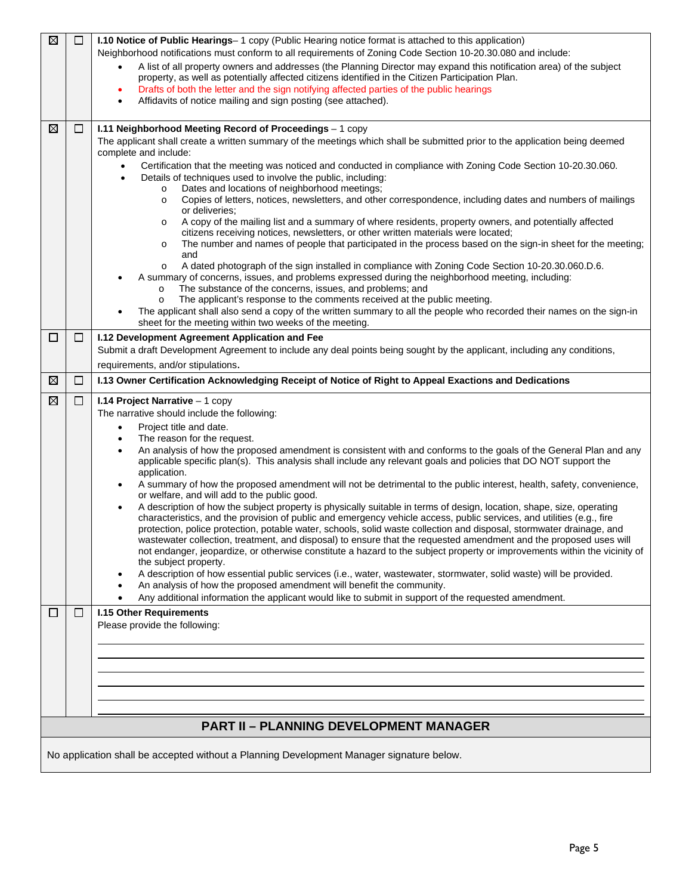| $\boxtimes$ | $\Box$                                        | <b>I.10 Notice of Public Hearings</b> – 1 copy (Public Hearing notice format is attached to this application)                                                                                                                                 |  |  |  |
|-------------|-----------------------------------------------|-----------------------------------------------------------------------------------------------------------------------------------------------------------------------------------------------------------------------------------------------|--|--|--|
|             |                                               | Neighborhood notifications must conform to all requirements of Zoning Code Section 10-20.30.080 and include:                                                                                                                                  |  |  |  |
|             |                                               | A list of all property owners and addresses (the Planning Director may expand this notification area) of the subject                                                                                                                          |  |  |  |
|             |                                               | property, as well as potentially affected citizens identified in the Citizen Participation Plan.                                                                                                                                              |  |  |  |
|             |                                               | Drafts of both the letter and the sign notifying affected parties of the public hearings<br>Affidavits of notice mailing and sign posting (see attached).                                                                                     |  |  |  |
|             |                                               |                                                                                                                                                                                                                                               |  |  |  |
| ⊠           | $\Box$                                        | I.11 Neighborhood Meeting Record of Proceedings - 1 copy                                                                                                                                                                                      |  |  |  |
|             |                                               | The applicant shall create a written summary of the meetings which shall be submitted prior to the application being deemed                                                                                                                   |  |  |  |
|             |                                               | complete and include:                                                                                                                                                                                                                         |  |  |  |
|             |                                               | Certification that the meeting was noticed and conducted in compliance with Zoning Code Section 10-20.30.060.<br>$\bullet$                                                                                                                    |  |  |  |
|             |                                               | Details of techniques used to involve the public, including:<br>$\bullet$<br>Dates and locations of neighborhood meetings;<br>$\circ$                                                                                                         |  |  |  |
|             |                                               | Copies of letters, notices, newsletters, and other correspondence, including dates and numbers of mailings<br>$\circ$                                                                                                                         |  |  |  |
|             |                                               | or deliveries:                                                                                                                                                                                                                                |  |  |  |
|             |                                               | A copy of the mailing list and a summary of where residents, property owners, and potentially affected<br>$\circ$<br>citizens receiving notices, newsletters, or other written materials were located;                                        |  |  |  |
|             |                                               | The number and names of people that participated in the process based on the sign-in sheet for the meeting;<br>$\circ$                                                                                                                        |  |  |  |
|             |                                               | and                                                                                                                                                                                                                                           |  |  |  |
|             |                                               | A dated photograph of the sign installed in compliance with Zoning Code Section 10-20.30.060.D.6.<br>$\circ$<br>A summary of concerns, issues, and problems expressed during the neighborhood meeting, including:                             |  |  |  |
|             |                                               | The substance of the concerns, issues, and problems; and<br>$\circ$                                                                                                                                                                           |  |  |  |
|             |                                               | The applicant's response to the comments received at the public meeting.<br>$\circ$                                                                                                                                                           |  |  |  |
|             |                                               | The applicant shall also send a copy of the written summary to all the people who recorded their names on the sign-in                                                                                                                         |  |  |  |
|             |                                               | sheet for the meeting within two weeks of the meeting.                                                                                                                                                                                        |  |  |  |
| □           | $\Box$                                        | I.12 Development Agreement Application and Fee<br>Submit a draft Development Agreement to include any deal points being sought by the applicant, including any conditions,                                                                    |  |  |  |
|             |                                               | requirements, and/or stipulations.                                                                                                                                                                                                            |  |  |  |
| ⊠           | $\Box$                                        | I.13 Owner Certification Acknowledging Receipt of Notice of Right to Appeal Exactions and Dedications                                                                                                                                         |  |  |  |
|             |                                               |                                                                                                                                                                                                                                               |  |  |  |
| ⊠           | $\Box$                                        | I.14 Project Narrative - 1 copy<br>The narrative should include the following:                                                                                                                                                                |  |  |  |
|             |                                               | Project title and date.<br>$\bullet$                                                                                                                                                                                                          |  |  |  |
|             |                                               | The reason for the request.                                                                                                                                                                                                                   |  |  |  |
|             |                                               | An analysis of how the proposed amendment is consistent with and conforms to the goals of the General Plan and any<br>$\bullet$                                                                                                               |  |  |  |
|             |                                               | applicable specific plan(s). This analysis shall include any relevant goals and policies that DO NOT support the<br>application.                                                                                                              |  |  |  |
|             |                                               | A summary of how the proposed amendment will not be detrimental to the public interest, health, safety, convenience,<br>٠                                                                                                                     |  |  |  |
|             |                                               | or welfare, and will add to the public good.                                                                                                                                                                                                  |  |  |  |
|             |                                               | A description of how the subject property is physically suitable in terms of design, location, shape, size, operating                                                                                                                         |  |  |  |
|             |                                               | characteristics, and the provision of public and emergency vehicle access, public services, and utilities (e.g., fire<br>protection, police protection, potable water, schools, solid waste collection and disposal, stormwater drainage, and |  |  |  |
|             |                                               | wastewater collection, treatment, and disposal) to ensure that the requested amendment and the proposed uses will                                                                                                                             |  |  |  |
|             |                                               | not endanger, jeopardize, or otherwise constitute a hazard to the subject property or improvements within the vicinity of                                                                                                                     |  |  |  |
|             |                                               | the subject property.<br>A description of how essential public services (i.e., water, wastewater, stormwater, solid waste) will be provided.                                                                                                  |  |  |  |
|             |                                               | An analysis of how the proposed amendment will benefit the community.                                                                                                                                                                         |  |  |  |
|             |                                               | Any additional information the applicant would like to submit in support of the requested amendment.                                                                                                                                          |  |  |  |
| $\Box$      | $\Box$                                        | <b>I.15 Other Requirements</b>                                                                                                                                                                                                                |  |  |  |
|             |                                               | Please provide the following:                                                                                                                                                                                                                 |  |  |  |
|             |                                               |                                                                                                                                                                                                                                               |  |  |  |
|             |                                               |                                                                                                                                                                                                                                               |  |  |  |
|             |                                               |                                                                                                                                                                                                                                               |  |  |  |
|             |                                               |                                                                                                                                                                                                                                               |  |  |  |
|             |                                               |                                                                                                                                                                                                                                               |  |  |  |
|             | <b>PART II - PLANNING DEVELOPMENT MANAGER</b> |                                                                                                                                                                                                                                               |  |  |  |
|             |                                               |                                                                                                                                                                                                                                               |  |  |  |
|             |                                               | No application shall be accepted without a Planning Development Manager signature below.                                                                                                                                                      |  |  |  |
|             |                                               |                                                                                                                                                                                                                                               |  |  |  |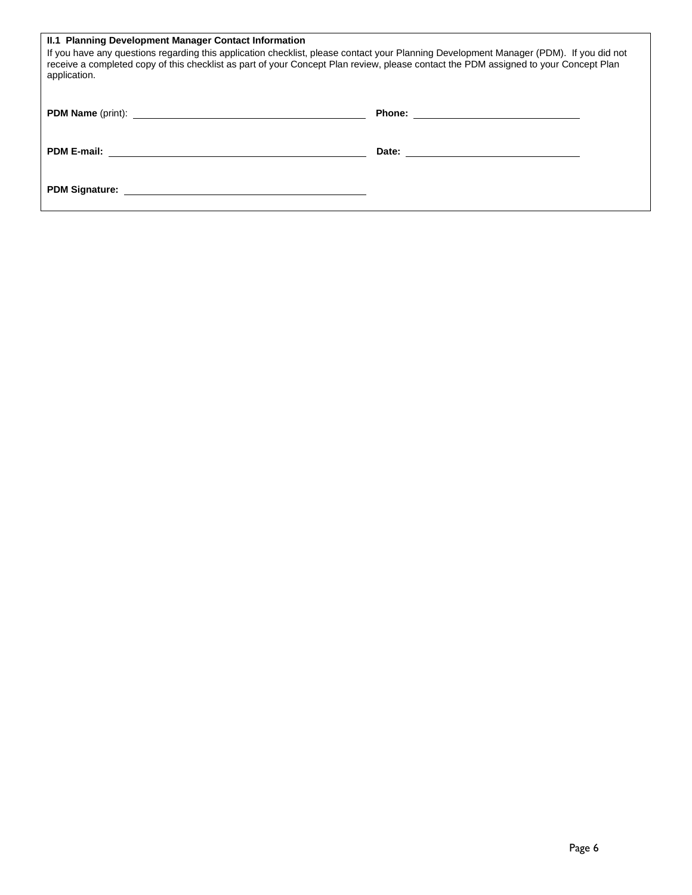| II.1 Planning Development Manager Contact Information<br>If you have any questions regarding this application checklist, please contact your Planning Development Manager (PDM). If you did not<br>receive a completed copy of this checklist as part of your Concept Plan review, please contact the PDM assigned to your Concept Plan<br>application. |  |  |  |
|---------------------------------------------------------------------------------------------------------------------------------------------------------------------------------------------------------------------------------------------------------------------------------------------------------------------------------------------------------|--|--|--|
|                                                                                                                                                                                                                                                                                                                                                         |  |  |  |
|                                                                                                                                                                                                                                                                                                                                                         |  |  |  |
| PDM Signature: <u>New York: New York: New York: New York: New York: New York: New York: New York: New York: New York: New York: New York: New York: New York: New York: New York: New York: New York: New York: New York: New Yo</u>                                                                                                                    |  |  |  |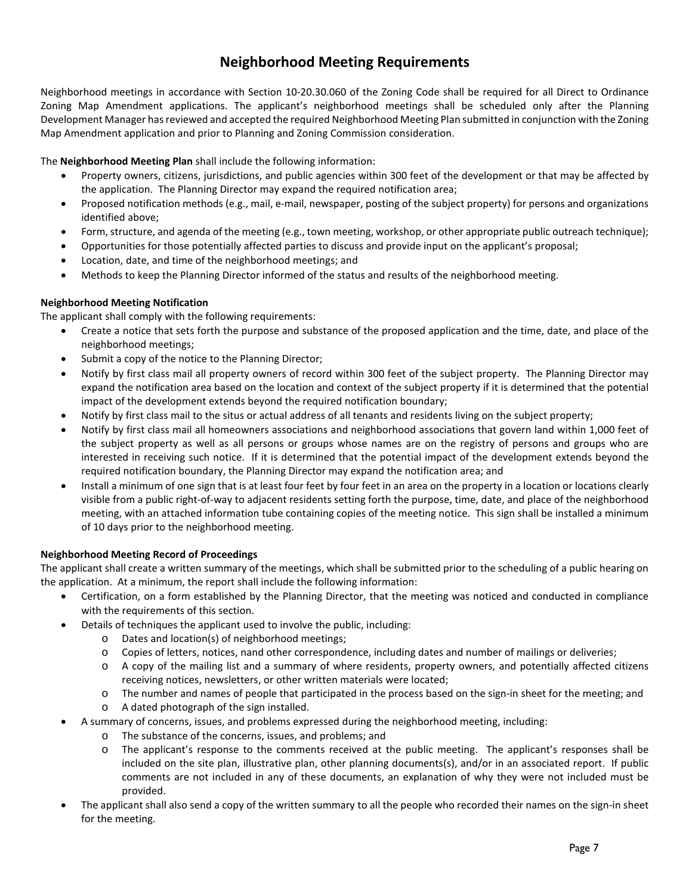### **Neighborhood Meeting Requirements**

Neighborhood meetings in accordance with Section 10-20.30.060 of the Zoning Code shall be required for all Direct to Ordinance Zoning Map Amendment applications. The applicant's neighborhood meetings shall be scheduled only after the Planning Development Manager has reviewed and accepted the required Neighborhood Meeting Plan submitted in conjunction with the Zoning Map Amendment application and prior to Planning and Zoning Commission consideration.

The **Neighborhood Meeting Plan** shall include the following information:

- Property owners, citizens, jurisdictions, and public agencies within 300 feet of the development or that may be affected by the application. The Planning Director may expand the required notification area;
- Proposed notification methods (e.g., mail, e-mail, newspaper, posting of the subject property) for persons and organizations identified above;
- Form, structure, and agenda of the meeting (e.g., town meeting, workshop, or other appropriate public outreach technique);
- Opportunities for those potentially affected parties to discuss and provide input on the applicant's proposal;
- Location, date, and time of the neighborhood meetings; and
- Methods to keep the Planning Director informed of the status and results of the neighborhood meeting.

#### **Neighborhood Meeting Notification**

The applicant shall comply with the following requirements:

- Create a notice that sets forth the purpose and substance of the proposed application and the time, date, and place of the neighborhood meetings;
- Submit a copy of the notice to the Planning Director;
- Notify by first class mail all property owners of record within 300 feet of the subject property. The Planning Director may expand the notification area based on the location and context of the subject property if it is determined that the potential impact of the development extends beyond the required notification boundary;
- Notify by first class mail to the situs or actual address of all tenants and residents living on the subject property;
- Notify by first class mail all homeowners associations and neighborhood associations that govern land within 1,000 feet of the subject property as well as all persons or groups whose names are on the registry of persons and groups who are interested in receiving such notice. If it is determined that the potential impact of the development extends beyond the required notification boundary, the Planning Director may expand the notification area; and
- Install a minimum of one sign that is at least four feet by four feet in an area on the property in a location or locations clearly visible from a public right-of-way to adjacent residents setting forth the purpose, time, date, and place of the neighborhood meeting, with an attached information tube containing copies of the meeting notice. This sign shall be installed a minimum of 10 days prior to the neighborhood meeting.

#### **Neighborhood Meeting Record of Proceedings**

The applicant shall create a written summary of the meetings, which shall be submitted prior to the scheduling of a public hearing on the application. At a minimum, the report shall include the following information:

- Certification, on a form established by the Planning Director, that the meeting was noticed and conducted in compliance with the requirements of this section.
- Details of techniques the applicant used to involve the public, including:
	- o Dates and location(s) of neighborhood meetings;
	- o Copies of letters, notices, nand other correspondence, including dates and number of mailings or deliveries;
	- o A copy of the mailing list and a summary of where residents, property owners, and potentially affected citizens receiving notices, newsletters, or other written materials were located;
	- o The number and names of people that participated in the process based on the sign-in sheet for the meeting; and
	- o A dated photograph of the sign installed.
- A summary of concerns, issues, and problems expressed during the neighborhood meeting, including:
	- o The substance of the concerns, issues, and problems; and
	- o The applicant's response to the comments received at the public meeting. The applicant's responses shall be included on the site plan, illustrative plan, other planning documents(s), and/or in an associated report. If public comments are not included in any of these documents, an explanation of why they were not included must be provided.
- The applicant shall also send a copy of the written summary to all the people who recorded their names on the sign-in sheet for the meeting.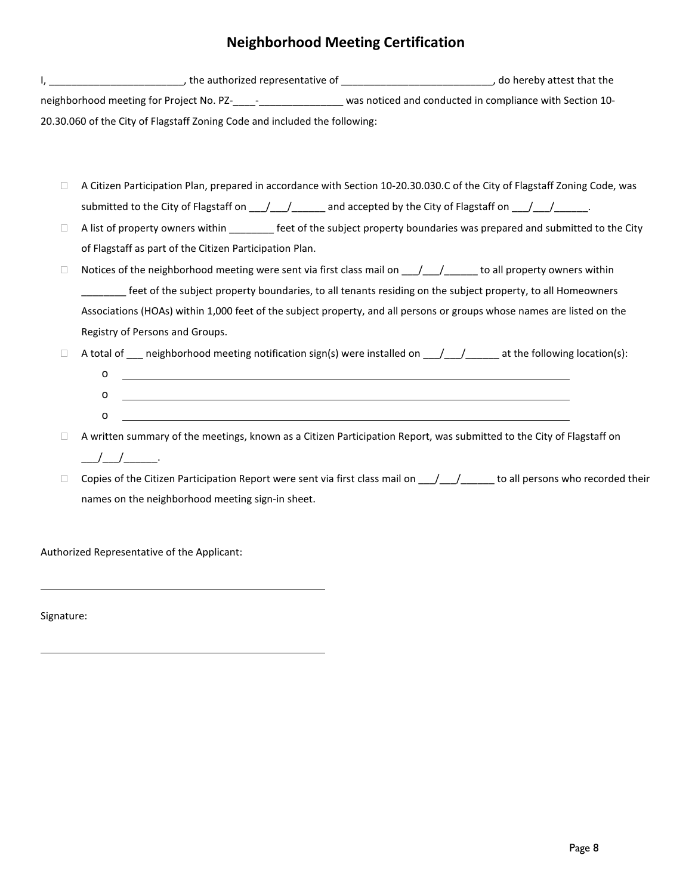## **Neighborhood Meeting Certification**

I, \_\_\_\_\_\_\_\_\_\_\_\_\_\_\_\_\_\_\_\_\_\_\_\_, the authorized representative of \_\_\_\_\_\_\_\_\_\_\_\_\_\_\_\_\_\_\_\_\_\_\_\_\_\_\_, do hereby attest that the neighborhood meeting for Project No. PZ-\_\_\_\_-\_\_\_\_\_\_\_\_\_\_\_\_\_\_\_\_\_\_\_\_\_ was noticed and conducted in compliance with Section 10-20.30.060 of the City of Flagstaff Zoning Code and included the following:

- □ A Citizen Participation Plan, prepared in accordance with Section 10-20.30.030.C of the City of Flagstaff Zoning Code, was submitted to the City of Flagstaff on \_\_\_/\_\_\_/\_\_\_\_\_\_\_ and accepted by the City of Flagstaff on \_\_\_/\_\_\_/\_\_\_\_\_\_.
- $\Box$  A list of property owners within \_\_\_\_\_\_\_\_ feet of the subject property boundaries was prepared and submitted to the City of Flagstaff as part of the Citizen Participation Plan.
- $\Box$  Notices of the neighborhood meeting were sent via first class mail on  $\Box / \Box / \Box$  to all property owners within \_\_\_\_\_\_\_\_ feet of the subject property boundaries, to all tenants residing on the subject property, to all Homeowners Associations (HOAs) within 1,000 feet of the subject property, and all persons or groups whose names are listed on the Registry of Persons and Groups.
- $\Box$  A total of  $\Box$  neighborhood meeting notification sign(s) were installed on  $\Box / \Box / \Box$  at the following location(s):
	- o  $\overline{O}$  $\circ$   $\qquad$
- $\Box$  A written summary of the meetings, known as a Citizen Participation Report, was submitted to the City of Flagstaff on  $\begin{array}{ccc} \begin{array}{ccc} \begin{array}{ccc} \end{array} & \begin{array}{ccc} \end{array} & \end{array} \end{array}$
- $\Box$  Copies of the Citizen Participation Report were sent via first class mail on  $\Box/\Box/\Box$  to all persons who recorded their names on the neighborhood meeting sign-in sheet.

Authorized Representative of the Applicant:

Signature: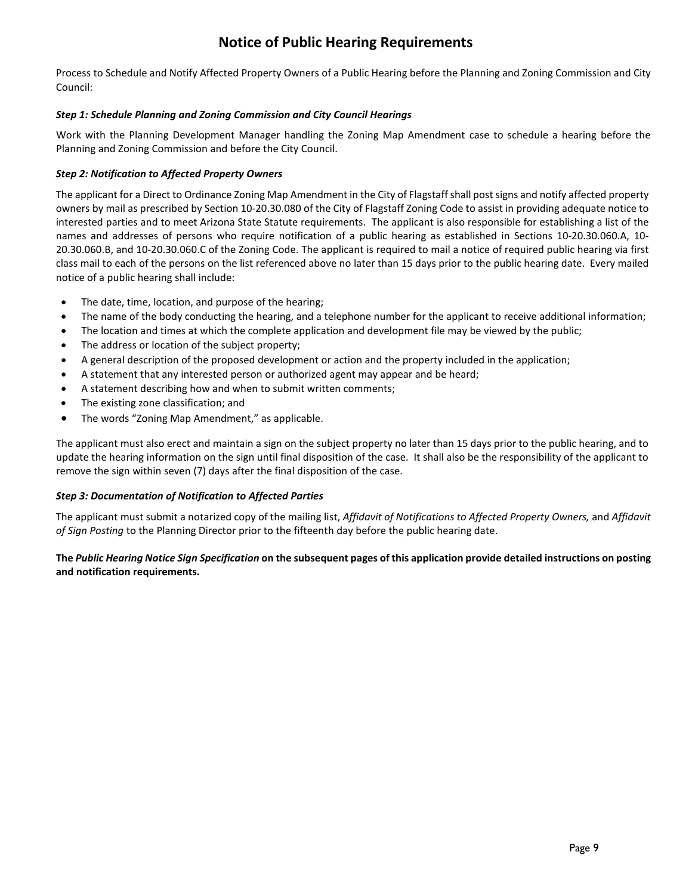### **Notice of Public Hearing Requirements**

Process to Schedule and Notify Affected Property Owners of a Public Hearing before the Planning and Zoning Commission and City Council:

#### *Step 1: Schedule Planning and Zoning Commission and City Council Hearings*

Work with the Planning Development Manager handling the Zoning Map Amendment case to schedule a hearing before the Planning and Zoning Commission and before the City Council.

#### *Step 2: Notification to Affected Property Owners*

The applicant for a Direct to Ordinance Zoning Map Amendment in the City of Flagstaff shall post signs and notify affected property owners by mail as prescribed by Section 10-20.30.080 of the City of Flagstaff Zoning Code to assist in providing adequate notice to interested parties and to meet Arizona State Statute requirements.The applicant is also responsible for establishing a list of the names and addresses of persons who require notification of a public hearing as established in Sections 10-20.30.060.A, 10- 20.30.060.B, and 10-20.30.060.C of the Zoning Code. The applicant is required to mail a notice of required public hearing via first class mail to each of the persons on the list referenced above no later than 15 days prior to the public hearing date. Every mailed notice of a public hearing shall include:

- The date, time, location, and purpose of the hearing;
- The name of the body conducting the hearing, and a telephone number for the applicant to receive additional information;
- The location and times at which the complete application and development file may be viewed by the public;
- The address or location of the subject property;
- A general description of the proposed development or action and the property included in the application;
- A statement that any interested person or authorized agent may appear and be heard;
- A statement describing how and when to submit written comments;
- The existing zone classification; and
- The words "Zoning Map Amendment," as applicable.

The applicant must also erect and maintain a sign on the subject property no later than 15 days prior to the public hearing, and to update the hearing information on the sign until final disposition of the case. It shall also be the responsibility of the applicant to remove the sign within seven (7) days after the final disposition of the case.

#### *Step 3: Documentation of Notification to Affected Parties*

The applicant must submit a notarized copy of the mailing list, *Affidavit of Notifications to Affected Property Owners,* and *Affidavit of Sign Posting* to the Planning Director prior to the fifteenth day before the public hearing date.

**The** *Public Hearing Notice Sign Specification* **on the subsequent pages of this application provide detailed instructions on posting and notification requirements.**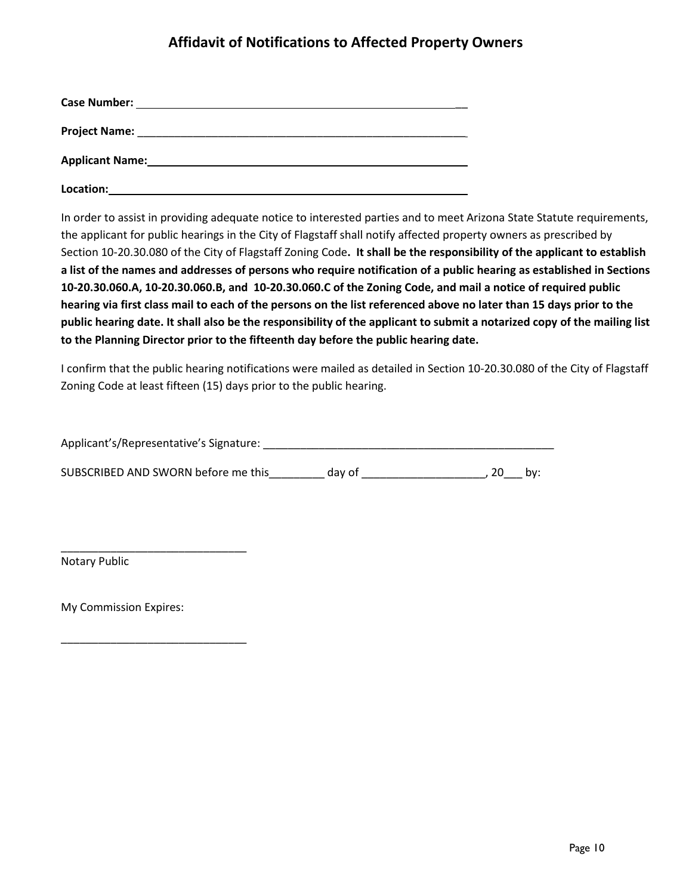## **Affidavit of Notifications to Affected Property Owners**

| <b>Case Number:</b>                                                        |  |
|----------------------------------------------------------------------------|--|
| <b>Project Name:</b><br><u> 1980 - John Stone, Amerikaansk politiker (</u> |  |
| <b>Applicant Name:</b>                                                     |  |
| Location:                                                                  |  |

In order to assist in providing adequate notice to interested parties and to meet Arizona State Statute requirements, the applicant for public hearings in the City of Flagstaff shall notify affected property owners as prescribed by Section 10-20.30.080 of the City of Flagstaff Zoning Code**. It shall be the responsibility of the applicant to establish a list of the names and addresses of persons who require notification of a public hearing as established in Sections 10-20.30.060.A, 10-20.30.060.B, and 10-20.30.060.C of the Zoning Code, and mail a notice of required public hearing via first class mail to each of the persons on the list referenced above no later than 15 days prior to the public hearing date. It shall also be the responsibility of the applicant to submit a notarized copy of the mailing list to the Planning Director prior to the fifteenth day before the public hearing date.**

I confirm that the public hearing notifications were mailed as detailed in Section 10-20.30.080 of the City of Flagstaff Zoning Code at least fifteen (15) days prior to the public hearing.

Applicant's/Representative's Signature: \_\_\_\_\_\_\_\_\_\_\_\_\_\_\_\_\_\_\_\_\_\_\_\_\_\_\_\_\_\_\_\_\_\_\_\_\_\_\_\_\_\_\_\_\_\_\_

SUBSCRIBED AND SWORN before me this \_\_\_\_\_\_\_\_\_ day of \_\_\_\_\_\_\_\_\_\_\_\_\_\_\_\_\_\_\_\_\_\_\_, 20\_\_\_ by:

Notary Public

My Commission Expires:

\_\_\_\_\_\_\_\_\_\_\_\_\_\_\_\_\_\_\_\_\_\_\_\_\_\_\_\_\_\_

\_\_\_\_\_\_\_\_\_\_\_\_\_\_\_\_\_\_\_\_\_\_\_\_\_\_\_\_\_\_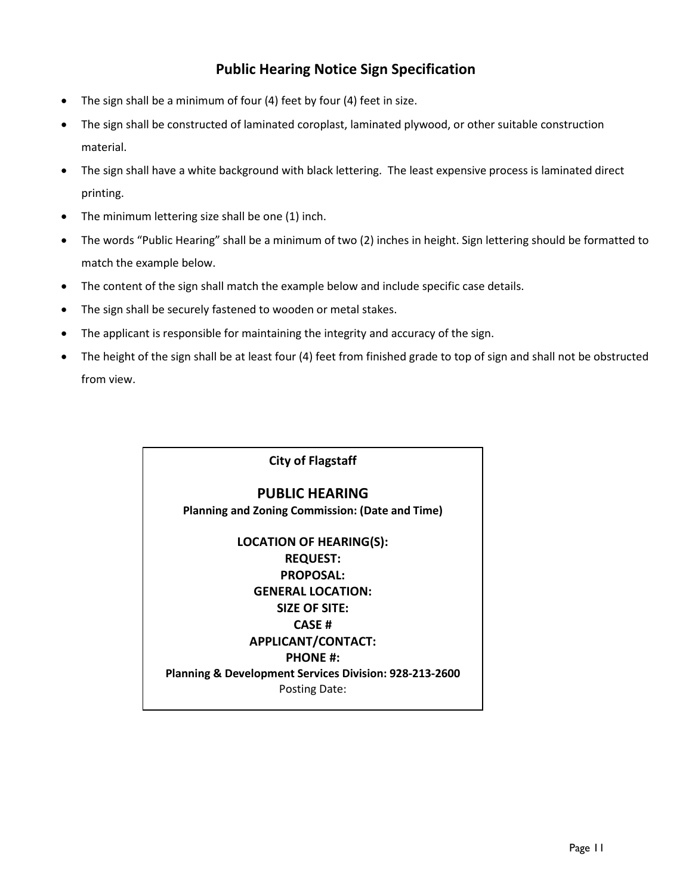### **Public Hearing Notice Sign Specification**

- The sign shall be a minimum of four (4) feet by four (4) feet in size.
- The sign shall be constructed of laminated coroplast, laminated plywood, or other suitable construction material.
- The sign shall have a white background with black lettering. The least expensive process is laminated direct printing.
- The minimum lettering size shall be one (1) inch.
- The words "Public Hearing" shall be a minimum of two (2) inches in height. Sign lettering should be formatted to match the example below.
- The content of the sign shall match the example below and include specific case details.
- The sign shall be securely fastened to wooden or metal stakes.
- The applicant is responsible for maintaining the integrity and accuracy of the sign.
- The height of the sign shall be at least four (4) feet from finished grade to top of sign and shall not be obstructed from view.

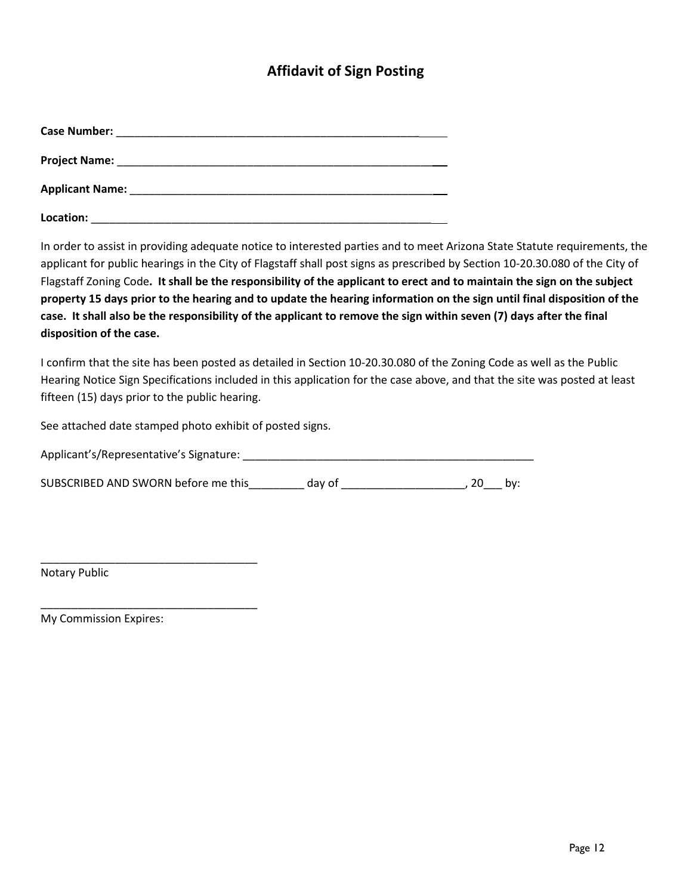### **Affidavit of Sign Posting**

| <b>Case Number:</b><br><u> 1980 - Jan James James James James James James James James James James James James James James James James J</u>  |  |
|----------------------------------------------------------------------------------------------------------------------------------------------|--|
| <b>Project Name:</b><br><u> 2000 - 2000 - 2000 - 2000 - 2000 - 2000 - 2000 - 2000 - 2000 - 2000 - 2000 - 2000 - 2000 - 2000 - 2000 - 200</u> |  |
|                                                                                                                                              |  |
| Location:                                                                                                                                    |  |

In order to assist in providing adequate notice to interested parties and to meet Arizona State Statute requirements, the applicant for public hearings in the City of Flagstaff shall post signs as prescribed by Section 10-20.30.080 of the City of Flagstaff Zoning Code**. It shall be the responsibility of the applicant to erect and to maintain the sign on the subject property 15 days prior to the hearing and to update the hearing information on the sign until final disposition of the case. It shall also be the responsibility of the applicant to remove the sign within seven (7) days after the final disposition of the case.**

I confirm that the site has been posted as detailed in Section 10-20.30.080 of the Zoning Code as well as the Public Hearing Notice Sign Specifications included in this application for the case above, and that the site was posted at least fifteen (15) days prior to the public hearing.

See attached date stamped photo exhibit of posted signs.

| Applicant's/Representative's Signature: |  |
|-----------------------------------------|--|
|-----------------------------------------|--|

SUBSCRIBED AND SWORN before me this \_\_\_\_\_\_\_\_\_ day of \_\_\_\_\_\_\_\_\_\_\_\_\_\_\_\_\_\_\_\_, 20\_\_\_ by:

Notary Public

My Commission Expires:

\_\_\_\_\_\_\_\_\_\_\_\_\_\_\_\_\_\_\_\_\_\_\_\_\_\_\_\_\_\_\_\_\_\_\_

\_\_\_\_\_\_\_\_\_\_\_\_\_\_\_\_\_\_\_\_\_\_\_\_\_\_\_\_\_\_\_\_\_\_\_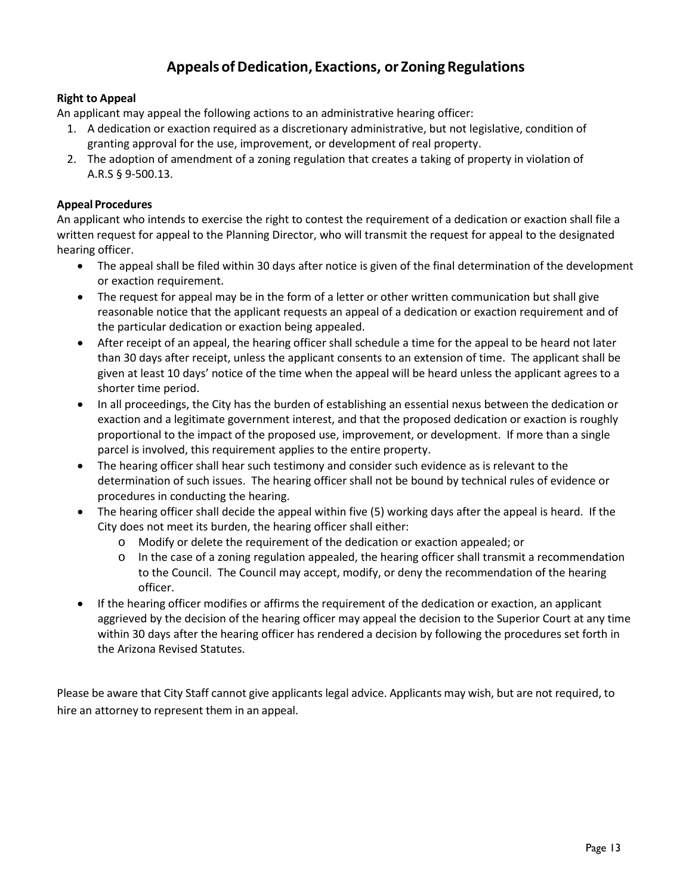## **Appeals ofDedication, Exactions, or Zoning Regulations**

### **Right to Appeal**

An applicant may appeal the following actions to an administrative hearing officer:

- 1. A dedication or exaction required as a discretionary administrative, but not legislative, condition of granting approval for the use, improvement, or development of real property.
- 2. The adoption of amendment of a zoning regulation that creates a taking of property in violation of A.R.S § 9-500.13.

#### **Appeal Procedures**

An applicant who intends to exercise the right to contest the requirement of a dedication or exaction shall file a written request for appeal to the Planning Director, who will transmit the request for appeal to the designated hearing officer.

- The appeal shall be filed within 30 days after notice is given of the final determination of the development or exaction requirement.
- The request for appeal may be in the form of a letter or other written communication but shall give reasonable notice that the applicant requests an appeal of a dedication or exaction requirement and of the particular dedication or exaction being appealed.
- After receipt of an appeal, the hearing officer shall schedule a time for the appeal to be heard not later than 30 days after receipt, unless the applicant consents to an extension of time. The applicant shall be given at least 10 days' notice of the time when the appeal will be heard unless the applicant agrees to a shorter time period.
- In all proceedings, the City has the burden of establishing an essential nexus between the dedication or exaction and a legitimate government interest, and that the proposed dedication or exaction is roughly proportional to the impact of the proposed use, improvement, or development. If more than a single parcel is involved, this requirement applies to the entire property.
- The hearing officer shall hear such testimony and consider such evidence as is relevant to the determination of such issues. The hearing officer shall not be bound by technical rules of evidence or procedures in conducting the hearing.
- The hearing officer shall decide the appeal within five (5) working days after the appeal is heard. If the City does not meet its burden, the hearing officer shall either:
	- o Modify or delete the requirement of the dedication or exaction appealed; or
	- $\circ$  In the case of a zoning regulation appealed, the hearing officer shall transmit a recommendation to the Council. The Council may accept, modify, or deny the recommendation of the hearing officer.
- If the hearing officer modifies or affirms the requirement of the dedication or exaction, an applicant aggrieved by the decision of the hearing officer may appeal the decision to the Superior Court at any time within 30 days after the hearing officer has rendered a decision by following the procedures set forth in the Arizona Revised Statutes.

Please be aware that City Staff cannot give applicants legal advice. Applicants may wish, but are not required, to hire an attorney to represent them in an appeal.